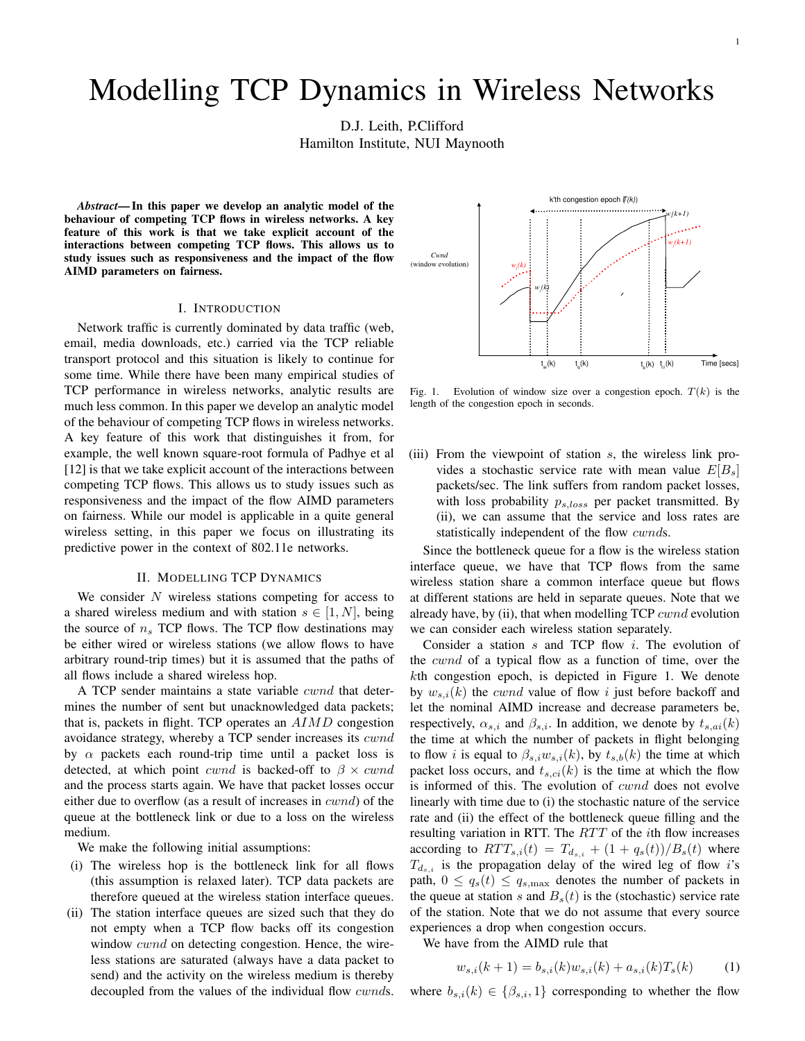# Modelling TCP Dynamics in Wireless Networks

D.J. Leith, P.Clifford

Hamilton Institute, NUI Maynooth

*Abstract***—In this paper we develop an analytic model of the behaviour of competing TCP flows in wireless networks. A key feature of this work is that we take explicit account of the interactions between competing TCP flows. This allows us to study issues such as responsiveness and the impact of the flow AIMD parameters on fairness.**

## I. INTRODUCTION

Network traffic is currently dominated by data traffic (web, email, media downloads, etc.) carried via the TCP reliable transport protocol and this situation is likely to continue for some time. While there have been many empirical studies of TCP performance in wireless networks, analytic results are much less common. In this paper we develop an analytic model of the behaviour of competing TCP flows in wireless networks. A key feature of this work that distinguishes it from, for example, the well known square-root formula of Padhye et al [12] is that we take explicit account of the interactions between competing TCP flows. This allows us to study issues such as responsiveness and the impact of the flow AIMD parameters on fairness. While our model is applicable in a quite general wireless setting, in this paper we focus on illustrating its predictive power in the context of 802.11e networks.

### II. MODELLING TCP DYNAMICS

We consider  $N$  wireless stations competing for access to a shared wireless medium and with station  $s \in [1, N]$ , being the source of  $n_s$  TCP flows. The TCP flow destinations may be either wired or wireless stations (we allow flows to have arbitrary round-trip times) but it is assumed that the paths of all flows include a shared wireless hop.

A TCP sender maintains a state variable  $\it cwnd$  that determines the number of sent but unacknowledged data packets; that is, packets in flight. TCP operates an AIMD congestion avoidance strategy, whereby a TCP sender increases its cwnd by  $\alpha$  packets each round-trip time until a packet loss is detected, at which point *cwnd* is backed-off to  $\beta \times cwnd$ and the process starts again. We have that packet losses occur either due to overflow (as a result of increases in cwnd) of the queue at the bottleneck link or due to a loss on the wireless medium.

We make the following initial assumptions:

- (i) The wireless hop is the bottleneck link for all flows (this assumption is relaxed later). TCP data packets are therefore queued at the wireless station interface queues.
- (ii) The station interface queues are sized such that they do not empty when a TCP flow backs off its congestion window *cwnd* on detecting congestion. Hence, the wireless stations are saturated (always have a data packet to send) and the activity on the wireless medium is thereby decoupled from the values of the individual flow *cwnds*.



Fig. 1. Evolution of window size over a congestion epoch.  $T(k)$  is the length of the congestion epoch in seconds.

(iii) From the viewpoint of station s, the wireless link provides a stochastic service rate with mean value  $E[B_s]$ packets/sec. The link suffers from random packet losses, with loss probability  $p_{s,loss}$  per packet transmitted. By (ii), we can assume that the service and loss rates are statistically independent of the flow *cwnds*.

Since the bottleneck queue for a flow is the wireless station interface queue, we have that TCP flows from the same wireless station share a common interface queue but flows at different stations are held in separate queues. Note that we already have, by (ii), that when modelling  $TCP$  cwnd evolution we can consider each wireless station separately.

Consider a station s and TCP flow i. The evolution of the cwnd of a typical flow as a function of time, over the kth congestion epoch, is depicted in Figure 1. We denote by  $w_{s,i}(k)$  the *cwnd* value of flow i just before backoff and let the nominal AIMD increase and decrease parameters be, respectively,  $\alpha_{s,i}$  and  $\beta_{s,i}$ . In addition, we denote by  $t_{s,ai}(k)$ the time at which the number of packets in flight belonging to flow *i* is equal to  $\beta_{s,i}w_{s,i}(k)$ , by  $t_{s,b}(k)$  the time at which packet loss occurs, and  $t_{s,ci}(k)$  is the time at which the flow is informed of this. The evolution of *cwnd* does not evolve linearly with time due to (i) the stochastic nature of the service rate and (ii) the effect of the bottleneck queue filling and the resulting variation in RTT. The RTT of the ith flow increases according to  $RTT_{s,i}(t) = T_{d_{s,i}} + (1 + q_s(t))/B_s(t)$  where  $T_{d_{s,i}}$  is the propagation delay of the wired leg of flow i's path,  $0 \le q_s(t) \le q_{s,\text{max}}$  denotes the number of packets in the queue at station s and  $B<sub>s</sub>(t)$  is the (stochastic) service rate of the station. Note that we do not assume that every source experiences a drop when congestion occurs.

We have from the AIMD rule that

$$
w_{s,i}(k+1) = b_{s,i}(k)w_{s,i}(k) + a_{s,i}(k)T_s(k)
$$
 (1)

where  $b_{s,i}(k) \in \{\beta_{s,i},1\}$  corresponding to whether the flow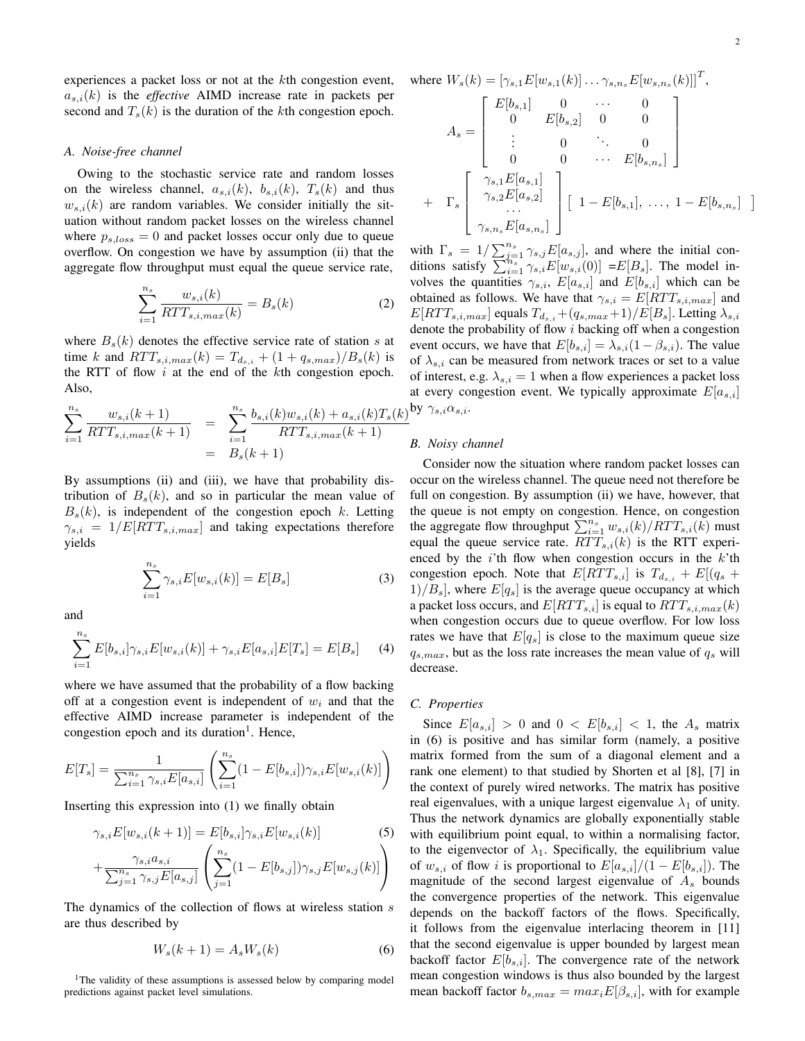experiences a packet loss or not at the kth congestion event,  $a_{s,i}(k)$  is the *effective* AIMD increase rate in packets per second and  $T_s(k)$  is the duration of the kth congestion epoch.

#### *A. Noise-free channel*

Owing to the stochastic service rate and random losses on the wireless channel,  $a_{s,i}(k)$ ,  $b_{s,i}(k)$ ,  $T_s(k)$  and thus  $w_{s,i}(k)$  are random variables. We consider initially the situation without random packet losses on the wireless channel where  $p_{s,loss} = 0$  and packet losses occur only due to queue overflow. On congestion we have by assumption (ii) that the aggregate flow throughput must equal the queue service rate,

$$
\sum_{i=1}^{n_s} \frac{w_{s,i}(k)}{RTT_{s,i,max}(k)} = B_s(k)
$$
 (2)

where  $B<sub>s</sub>(k)$  denotes the effective service rate of station s at time k and  $RTT_{s,i,max}(k) = T_{d_{s,i}} + (1 + q_{s,max})/B_s(k)$  is the RTT of flow  $i$  at the end of the  $k$ th congestion epoch. Also,

$$
\sum_{i=1}^{n_s} \frac{w_{s,i}(k+1)}{RTT_{s,i,max}(k+1)} = \sum_{i=1}^{n_s} \frac{b_{s,i}(k)w_{s,i}(k) + a_{s,i}(k)T_s(k)}{RTT_{s,i,max}(k+1)}
$$
  
=  $B_s(k+1)$ 

By assumptions (ii) and (iii), we have that probability distribution of  $B_s(k)$ , and so in particular the mean value of  $B<sub>s</sub>(k)$ , is independent of the congestion epoch k. Letting  $\gamma_{s,i} = 1/E[RTT_{s,i,max}]$  and taking expectations therefore yields

$$
\sum_{i=1}^{n_s} \gamma_{s,i} E[w_{s,i}(k)] = E[B_s]
$$
 (3)

and

$$
\sum_{i=1}^{n_s} E[b_{s,i}] \gamma_{s,i} E[w_{s,i}(k)] + \gamma_{s,i} E[a_{s,i}] E[T_s] = E[B_s]
$$
 (4)

where we have assumed that the probability of a flow backing off at a congestion event is independent of  $w_i$  and that the effective AIMD increase parameter is independent of the congestion epoch and its duration<sup>1</sup>. Hence,

$$
E[T_s] = \frac{1}{\sum_{i=1}^{n_s} \gamma_{s,i} E[a_{s,i}]} \left( \sum_{i=1}^{n_s} (1 - E[b_{s,i}]) \gamma_{s,i} E[w_{s,i}(k)] \right)
$$

Inserting this expression into (1) we finally obtain

$$
\gamma_{s,i}E[w_{s,i}(k+1)] = E[b_{s,i}]\gamma_{s,i}E[w_{s,i}(k)]
$$
\n
$$
+\frac{\gamma_{s,i}a_{s,i}}{\sum_{j=1}^{n_s}\gamma_{s,j}E[a_{s,j}]}\left(\sum_{j=1}^{n_s}(1-E[b_{s,j}])\gamma_{s,j}E[w_{s,j}(k)]\right)
$$
\n(5)

The dynamics of the collection of flows at wireless station s are thus described by

$$
W_s(k+1) = A_s W_s(k) \tag{6}
$$

<sup>1</sup>The validity of these assumptions is assessed below by comparing model predictions against packet level simulations.

where 
$$
W_s(k) = [\gamma_{s,1} E[w_{s,1}(k)] \dots \gamma_{s,n_s} E[w_{s,n_s}(k)]]^T
$$
,  
\n
$$
\begin{bmatrix}\nE[b_{s,1}] & 0 & \cdots & 0 \\
0 & E[b_{s,2}] & 0 & 0\n\end{bmatrix}^T
$$

$$
A_{s} = \begin{bmatrix} 0 & E[0_{s,2}] & 0 & 0 \\ \vdots & 0 & \ddots & 0 \\ 0 & 0 & \cdots & E[b_{s,n_{s}}] \end{bmatrix}
$$

$$
+ \Gamma_{s} \begin{bmatrix} \gamma_{s,1}E[a_{s,1}] \\ \gamma_{s,2}E[a_{s,2}] \\ \vdots \\ \gamma_{s,n_{s}}E[a_{s,n_{s}}] \end{bmatrix} [1 - E[b_{s,1}], \ldots, 1 - E[b_{s,n_{s}}] ]
$$

with  $\Gamma_s = 1/\sum_{j=1}^{n_s} \gamma_{s,j} E[a_{s,j}],$  and where the initial conditions satisfy  $\sum_{i=1}^{n_s} \gamma_{s,i} E[w_{s,i}(0)] = E[B_s]$ . The model involves the quantities  $\gamma_{s,i}$ ,  $E[a_{s,i}]$  and  $E[b_{s,i}]$  which can be obtained as follows. We have that  $\gamma_{s,i} = E[RTT_{s,i,max}]$  and  $E[RTT_{s,i,max}]$  equals  $T_{d_{s,i}}+(q_{s,max}+1)/E[B_s]$ . Letting  $\lambda_{s,i}$ denote the probability of flow i backing off when a congestion event occurs, we have that  $E[b_{s,i}] = \lambda_{s,i}(1-\beta_{s,i})$ . The value of  $\lambda_{s,i}$  can be measured from network traces or set to a value of interest, e.g.  $\lambda_{s,i} = 1$  when a flow experiences a packet loss at every congestion event. We typically approximate  $E[a_{s,i}]$  $\gamma_{s,i}\alpha_{s,i}.$ 

#### *B. Noisy channel*

Consider now the situation where random packet losses can occur on the wireless channel. The queue need not therefore be full on congestion. By assumption (ii) we have, however, that the queue is not empty on congestion. Hence, on congestion the aggregate flow throughput  $\sum_{i=1}^{n_s} w_{s,i}(k)/RTT_{s,i}(k)$  must equal the queue service rate.  $RTT_{s,i}(k)$  is the RTT experienced by the  $i$ 'th flow when congestion occurs in the  $k$ 'th congestion epoch. Note that  $E[RTT_{s,i}]$  is  $T_{d_{s,i}} + E[(q_s +$  $1)/B_s$ , where  $E[q_s]$  is the average queue occupancy at which a packet loss occurs, and  $E[RTT_{s,i}]$  is equal to  $RTT_{s,i,max}(k)$ when congestion occurs due to queue overflow. For low loss rates we have that  $E[q_s]$  is close to the maximum queue size  $q_{s,max}$ , but as the loss rate increases the mean value of  $q_s$  will decrease.

## *C. Properties*

Since  $E[a_{s,i}] > 0$  and  $0 < E[b_{s,i}] < 1$ , the  $A_s$  matrix in (6) is positive and has similar form (namely, a positive matrix formed from the sum of a diagonal element and a rank one element) to that studied by Shorten et al [8], [7] in the context of purely wired networks. The matrix has positive real eigenvalues, with a unique largest eigenvalue  $\lambda_1$  of unity. Thus the network dynamics are globally exponentially stable with equilibrium point equal, to within a normalising factor, to the eigenvector of  $\lambda_1$ . Specifically, the equilibrium value of  $w_{s,i}$  of flow i is proportional to  $E[a_{s,i}]/(1 - E[b_{s,i}])$ . The magnitude of the second largest eigenvalue of  $A<sub>s</sub>$  bounds the convergence properties of the network. This eigenvalue depends on the backoff factors of the flows. Specifically, it follows from the eigenvalue interlacing theorem in [11] that the second eigenvalue is upper bounded by largest mean backoff factor  $E[b_{s,i}]$ . The convergence rate of the network mean congestion windows is thus also bounded by the largest mean backoff factor  $b_{s,max} = max_i E[\beta_{s,i}]$ , with for example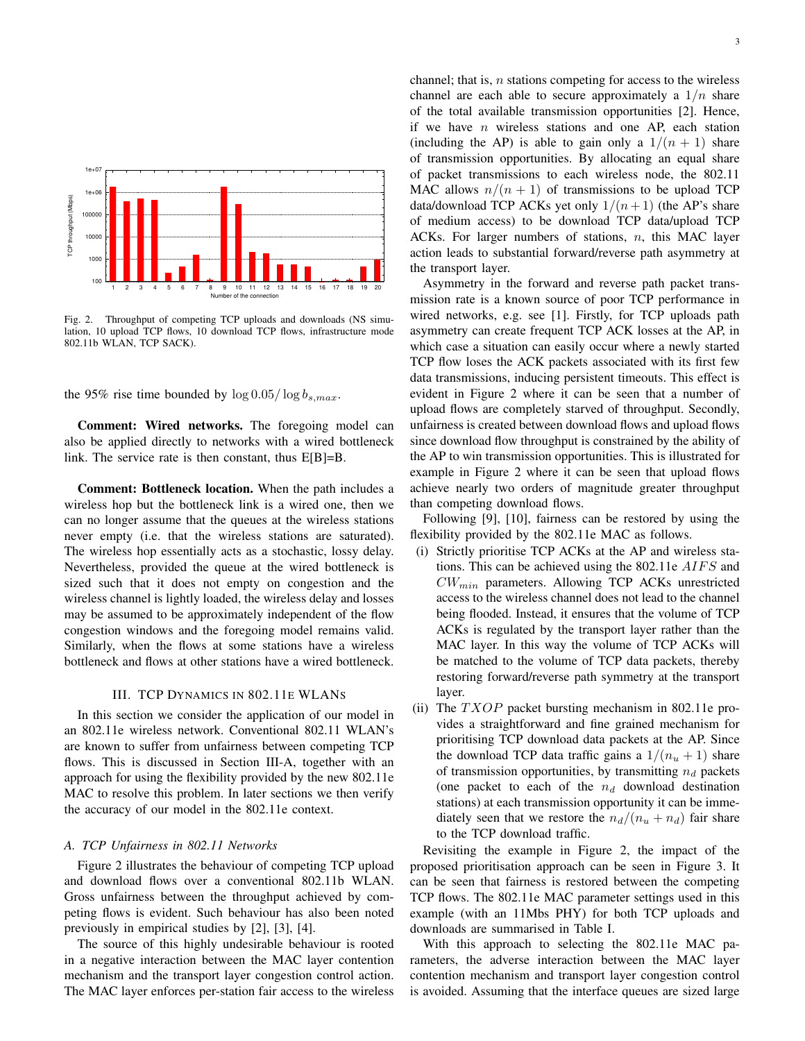

Fig. 2. Throughput of competing TCP uploads and downloads (NS simulation, 10 upload TCP flows, 10 download TCP flows, infrastructure mode 802.11b WLAN, TCP SACK).

the 95% rise time bounded by  $\log 0.05 / \log b_{s,max}$ .

**Comment: Wired networks.** The foregoing model can also be applied directly to networks with a wired bottleneck link. The service rate is then constant, thus E[B]=B.

**Comment: Bottleneck location.** When the path includes a wireless hop but the bottleneck link is a wired one, then we can no longer assume that the queues at the wireless stations never empty (i.e. that the wireless stations are saturated). The wireless hop essentially acts as a stochastic, lossy delay. Nevertheless, provided the queue at the wired bottleneck is sized such that it does not empty on congestion and the wireless channel is lightly loaded, the wireless delay and losses may be assumed to be approximately independent of the flow congestion windows and the foregoing model remains valid. Similarly, when the flows at some stations have a wireless bottleneck and flows at other stations have a wired bottleneck.

# III. TCP DYNAMICS IN 802.11E WLANS

In this section we consider the application of our model in an 802.11e wireless network. Conventional 802.11 WLAN's are known to suffer from unfairness between competing TCP flows. This is discussed in Section III-A, together with an approach for using the flexibility provided by the new 802.11e MAC to resolve this problem. In later sections we then verify the accuracy of our model in the 802.11e context.

# *A. TCP Unfairness in 802.11 Networks*

Figure 2 illustrates the behaviour of competing TCP upload and download flows over a conventional 802.11b WLAN. Gross unfairness between the throughput achieved by competing flows is evident. Such behaviour has also been noted previously in empirical studies by [2], [3], [4].

The source of this highly undesirable behaviour is rooted in a negative interaction between the MAC layer contention mechanism and the transport layer congestion control action. The MAC layer enforces per-station fair access to the wireless channel; that is,  $n$  stations competing for access to the wireless channel are each able to secure approximately a  $1/n$  share of the total available transmission opportunities [2]. Hence, if we have  $n$  wireless stations and one AP, each station (including the AP) is able to gain only a  $1/(n + 1)$  share of transmission opportunities. By allocating an equal share of packet transmissions to each wireless node, the 802.11 MAC allows  $n/(n + 1)$  of transmissions to be upload TCP data/download TCP ACKs yet only  $1/(n+1)$  (the AP's share of medium access) to be download TCP data/upload TCP ACKs. For larger numbers of stations,  $n$ , this MAC layer action leads to substantial forward/reverse path asymmetry at the transport layer.

Asymmetry in the forward and reverse path packet transmission rate is a known source of poor TCP performance in wired networks, e.g. see [1]. Firstly, for TCP uploads path asymmetry can create frequent TCP ACK losses at the AP, in which case a situation can easily occur where a newly started TCP flow loses the ACK packets associated with its first few data transmissions, inducing persistent timeouts. This effect is evident in Figure 2 where it can be seen that a number of upload flows are completely starved of throughput. Secondly, unfairness is created between download flows and upload flows since download flow throughput is constrained by the ability of the AP to win transmission opportunities. This is illustrated for example in Figure 2 where it can be seen that upload flows achieve nearly two orders of magnitude greater throughput than competing download flows.

Following [9], [10], fairness can be restored by using the flexibility provided by the 802.11e MAC as follows.

- (i) Strictly prioritise TCP ACKs at the AP and wireless stations. This can be achieved using the 802.11e AIFS and  $CW_{min}$  parameters. Allowing TCP ACKs unrestricted access to the wireless channel does not lead to the channel being flooded. Instead, it ensures that the volume of TCP ACKs is regulated by the transport layer rather than the MAC layer. In this way the volume of TCP ACKs will be matched to the volume of TCP data packets, thereby restoring forward/reverse path symmetry at the transport layer.
- (ii) The  $TXOP$  packet bursting mechanism in 802.11e provides a straightforward and fine grained mechanism for prioritising TCP download data packets at the AP. Since the download TCP data traffic gains a  $1/(n<sub>u</sub>+1)$  share of transmission opportunities, by transmitting  $n_d$  packets (one packet to each of the  $n_d$  download destination stations) at each transmission opportunity it can be immediately seen that we restore the  $n_d/(n_u + n_d)$  fair share to the TCP download traffic.

Revisiting the example in Figure 2, the impact of the proposed prioritisation approach can be seen in Figure 3. It can be seen that fairness is restored between the competing TCP flows. The 802.11e MAC parameter settings used in this example (with an 11Mbs PHY) for both TCP uploads and downloads are summarised in Table I.

With this approach to selecting the 802.11e MAC parameters, the adverse interaction between the MAC layer contention mechanism and transport layer congestion control is avoided. Assuming that the interface queues are sized large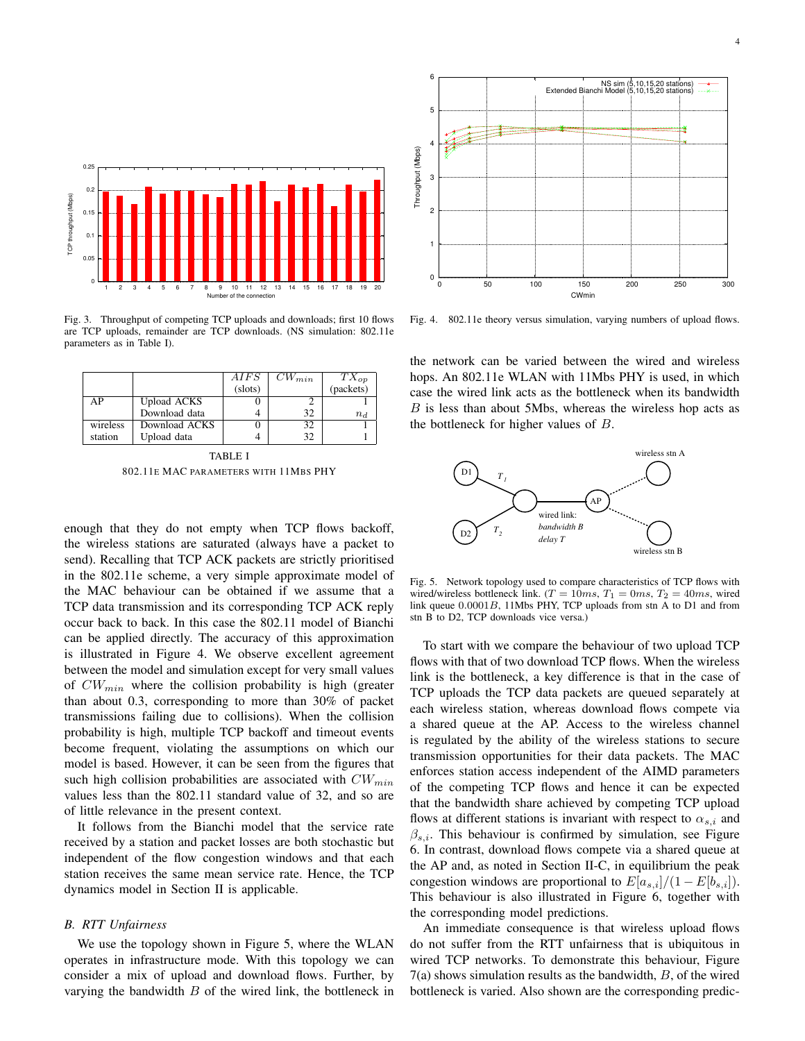

Fig. 3. Throughput of competing TCP uploads and downloads; first 10 flows are TCP uploads, remainder are TCP downloads. (NS simulation: 802.11e parameters as in Table I).

|          |                    | AIFS    | $CW_{min}$ | $TX_{op}$ |
|----------|--------------------|---------|------------|-----------|
|          |                    | (slots) |            | (packets) |
| AР       | <b>Upload ACKS</b> |         |            |           |
|          | Download data      |         | 32         | $n_d$     |
| wireless | Download ACKS      |         | 32         |           |
| station  | Upload data        |         | 32         |           |

TABLE I 802.11E MAC PARAMETERS WITH 11MBS PHY

enough that they do not empty when TCP flows backoff, the wireless stations are saturated (always have a packet to send). Recalling that TCP ACK packets are strictly prioritised in the 802.11e scheme, a very simple approximate model of the MAC behaviour can be obtained if we assume that a TCP data transmission and its corresponding TCP ACK reply occur back to back. In this case the 802.11 model of Bianchi can be applied directly. The accuracy of this approximation is illustrated in Figure 4. We observe excellent agreement between the model and simulation except for very small values of  $CW_{min}$  where the collision probability is high (greater than about 0.3, corresponding to more than 30% of packet transmissions failing due to collisions). When the collision probability is high, multiple TCP backoff and timeout events become frequent, violating the assumptions on which our model is based. However, it can be seen from the figures that such high collision probabilities are associated with  $CW_{min}$ values less than the 802.11 standard value of 32, and so are of little relevance in the present context.

It follows from the Bianchi model that the service rate received by a station and packet losses are both stochastic but independent of the flow congestion windows and that each station receives the same mean service rate. Hence, the TCP dynamics model in Section II is applicable.

## *B. RTT Unfairness*

We use the topology shown in Figure 5, where the WLAN operates in infrastructure mode. With this topology we can consider a mix of upload and download flows. Further, by varying the bandwidth  $B$  of the wired link, the bottleneck in



Fig. 4. 802.11e theory versus simulation, varying numbers of upload flows.

the network can be varied between the wired and wireless hops. An 802.11e WLAN with 11Mbs PHY is used, in which case the wired link acts as the bottleneck when its bandwidth B is less than about 5Mbs, whereas the wireless hop acts as the bottleneck for higher values of B.



Fig. 5. Network topology used to compare characteristics of TCP flows with wired/wireless bottleneck link.  $(T = 10ms, T_1 = 0ms, T_2 = 40ms,$  wired link queue 0.0001B, 11Mbs PHY, TCP uploads from stn A to D1 and from stn B to D2, TCP downloads vice versa.)

To start with we compare the behaviour of two upload TCP flows with that of two download TCP flows. When the wireless link is the bottleneck, a key difference is that in the case of TCP uploads the TCP data packets are queued separately at each wireless station, whereas download flows compete via a shared queue at the AP. Access to the wireless channel is regulated by the ability of the wireless stations to secure transmission opportunities for their data packets. The MAC enforces station access independent of the AIMD parameters of the competing TCP flows and hence it can be expected that the bandwidth share achieved by competing TCP upload flows at different stations is invariant with respect to  $\alpha_{s,i}$  and  $\beta_{s,i}$ . This behaviour is confirmed by simulation, see Figure 6. In contrast, download flows compete via a shared queue at the AP and, as noted in Section II-C, in equilibrium the peak congestion windows are proportional to  $E[a_{s,i}]/(1-E[b_{s,i}])$ . This behaviour is also illustrated in Figure 6, together with the corresponding model predictions.

An immediate consequence is that wireless upload flows do not suffer from the RTT unfairness that is ubiquitous in wired TCP networks. To demonstrate this behaviour, Figure  $7(a)$  shows simulation results as the bandwidth,  $B$ , of the wired bottleneck is varied. Also shown are the corresponding predic-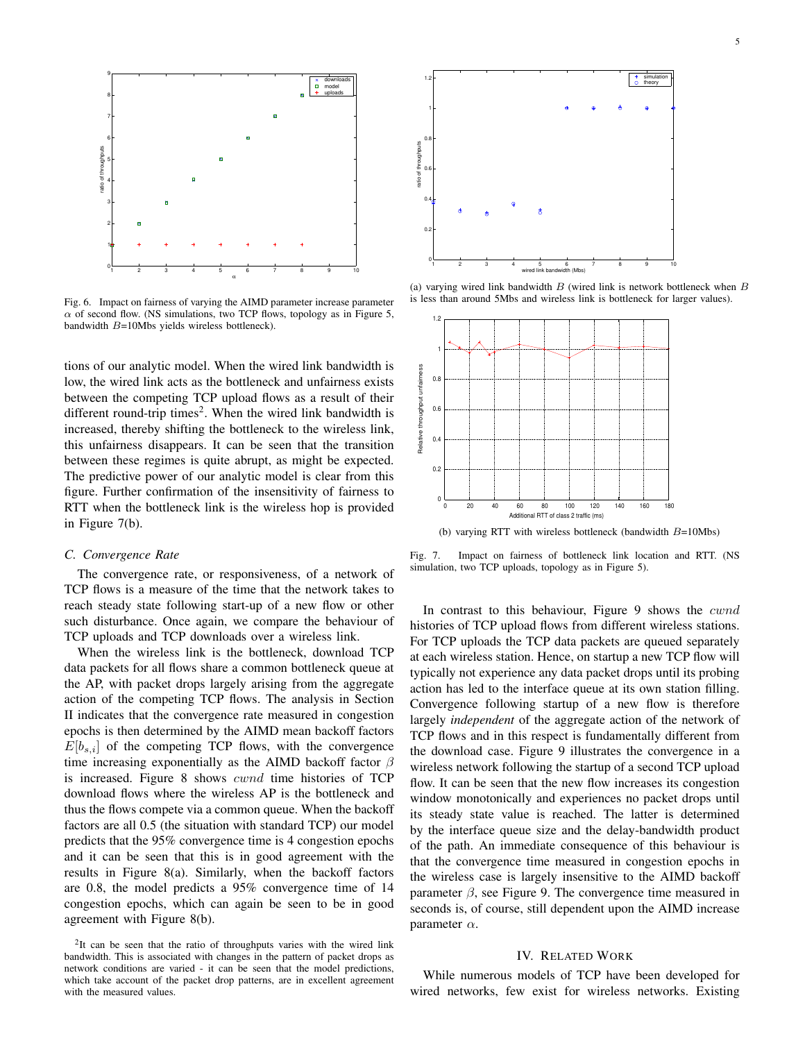



Fig. 6. Impact on fairness of varying the AIMD parameter increase parameter  $\alpha$  of second flow. (NS simulations, two TCP flows, topology as in Figure 5, bandwidth B=10Mbs yields wireless bottleneck).

tions of our analytic model. When the wired link bandwidth is low, the wired link acts as the bottleneck and unfairness exists between the competing TCP upload flows as a result of their different round-trip times<sup>2</sup>. When the wired link bandwidth is increased, thereby shifting the bottleneck to the wireless link, this unfairness disappears. It can be seen that the transition between these regimes is quite abrupt, as might be expected. The predictive power of our analytic model is clear from this figure. Further confirmation of the insensitivity of fairness to RTT when the bottleneck link is the wireless hop is provided in Figure 7(b).

## *C. Convergence Rate*

The convergence rate, or responsiveness, of a network of TCP flows is a measure of the time that the network takes to reach steady state following start-up of a new flow or other such disturbance. Once again, we compare the behaviour of TCP uploads and TCP downloads over a wireless link.

When the wireless link is the bottleneck, download TCP data packets for all flows share a common bottleneck queue at the AP, with packet drops largely arising from the aggregate action of the competing TCP flows. The analysis in Section II indicates that the convergence rate measured in congestion epochs is then determined by the AIMD mean backoff factors  $E[b_{s,i}]$  of the competing TCP flows, with the convergence time increasing exponentially as the AIMD backoff factor  $\beta$ is increased. Figure 8 shows cwnd time histories of TCP download flows where the wireless AP is the bottleneck and thus the flows compete via a common queue. When the backoff factors are all 0.5 (the situation with standard TCP) our model predicts that the 95% convergence time is 4 congestion epochs and it can be seen that this is in good agreement with the results in Figure 8(a). Similarly, when the backoff factors are 0.8, the model predicts a 95% convergence time of 14 congestion epochs, which can again be seen to be in good agreement with Figure 8(b).



(a) varying wired link bandwidth  $B$  (wired link is network bottleneck when  $B$ is less than around 5Mbs and wireless link is bottleneck for larger values).



(b) varying RTT with wireless bottleneck (bandwidth  $B=10Mbs$ )

Fig. 7. Impact on fairness of bottleneck link location and RTT. (NS simulation, two TCP uploads, topology as in Figure 5).

In contrast to this behaviour, Figure 9 shows the *cwnd* histories of TCP upload flows from different wireless stations. For TCP uploads the TCP data packets are queued separately at each wireless station. Hence, on startup a new TCP flow will typically not experience any data packet drops until its probing action has led to the interface queue at its own station filling. Convergence following startup of a new flow is therefore largely *independent* of the aggregate action of the network of TCP flows and in this respect is fundamentally different from the download case. Figure 9 illustrates the convergence in a wireless network following the startup of a second TCP upload flow. It can be seen that the new flow increases its congestion window monotonically and experiences no packet drops until its steady state value is reached. The latter is determined by the interface queue size and the delay-bandwidth product of the path. An immediate consequence of this behaviour is that the convergence time measured in congestion epochs in the wireless case is largely insensitive to the AIMD backoff parameter  $\beta$ , see Figure 9. The convergence time measured in seconds is, of course, still dependent upon the AIMD increase parameter  $\alpha$ .

# IV. RELATED WORK

While numerous models of TCP have been developed for wired networks, few exist for wireless networks. Existing

<sup>&</sup>lt;sup>2</sup>It can be seen that the ratio of throughputs varies with the wired link bandwidth. This is associated with changes in the pattern of packet drops as network conditions are varied - it can be seen that the model predictions, which take account of the packet drop patterns, are in excellent agreement with the measured values